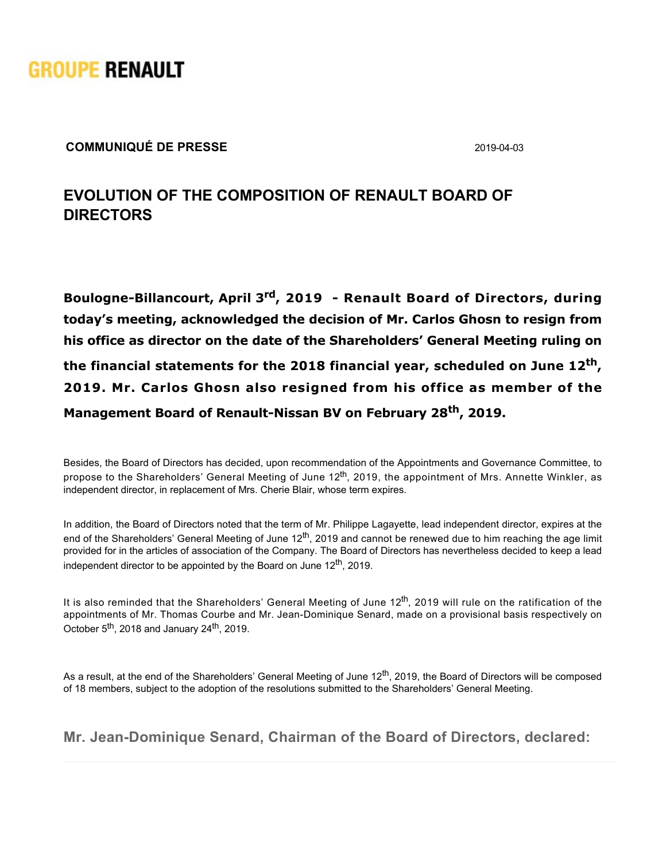

## **COMMUNIQUÉ DE PRESSE** 2019-04-03

## **EVOLUTION OF THE COMPOSITION OF RENAULT BOARD OF DIRECTORS**

**Boulogne-Billancourt, April 3<sup>rd</sup>, 2019 - Renault Board of Directors, during today's meeting, acknowledged the decision of Mr. Carlos Ghosn to resign from his office as director on the date of the Shareholders' General Meeting ruling on the financial statements for the 2018 financial year, scheduled on June 12th , 2019. Mr. Carlos Ghosn also resigned from his office as member of the Management Board of Renault-Nissan BV on February 28<sup>th</sup>, 2019.** 

Besides, the Board of Directors has decided, upon recommendation of the Appointments and Governance Committee, to propose to the Shareholders' General Meeting of June 12<sup>th</sup>, 2019, the appointment of Mrs. Annette Winkler, as independent director, in replacement of Mrs. Cherie Blair, whose term expires.

In addition, the Board of Directors noted that the term of Mr. Philippe Lagayette, lead independent director, expires at the end of the Shareholders' General Meeting of June 12<sup>th</sup>, 2019 and cannot be renewed due to him reaching the age limit provided for in the articles of association of the Company. The Board of Directors has nevertheless decided to keep a lead independent director to be appointed by the Board on June 12<sup>th</sup>, 2019.

It is also reminded that the Shareholders' General Meeting of June 12<sup>th</sup>, 2019 will rule on the ratification of the appointments of Mr. Thomas Courbe and Mr. Jean-Dominique Senard, made on a provisional basis respectively on October 5<sup>th</sup>, 2018 and January 24<sup>th</sup>, 2019.

As a result, at the end of the Shareholders' General Meeting of June 12<sup>th</sup>, 2019, the Board of Directors will be composed of 18 members, subject to the adoption of the resolutions submitted to the Shareholders' General Meeting.

Mr. Jean-Dominique Senard, Chairman of the Board of Directors, declared: